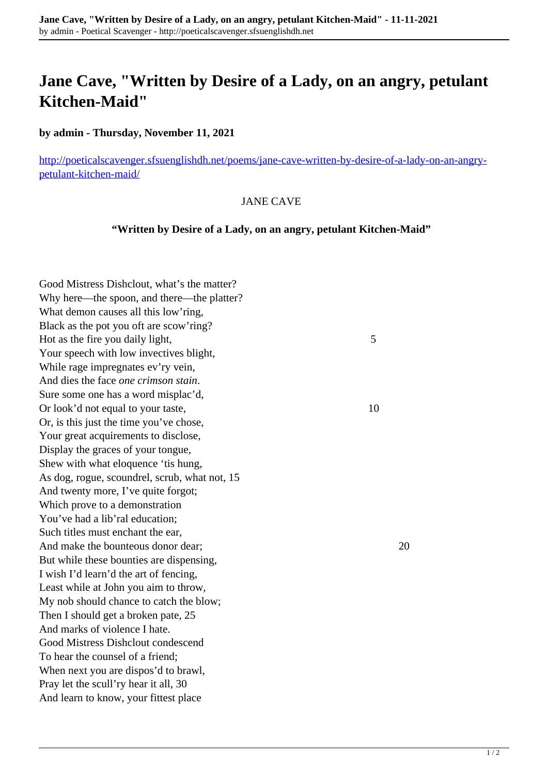## **Jane Cave, "Written by Desire of a Lady, on an angry, petulant Kitchen-Maid"**

**by admin - Thursday, November 11, 2021**

[http://poeticalscavenger.sfsuenglishdh.net/poems/jane-cave-written-by-desire-of-a-lady-on-an-angry](http://poeticalscavenger.sfsuenglishdh.net/poems/jane-cave-written-by-desire-of-a-lady-on-an-angry-petulant-kitchen-maid/)[petulant-kitchen-maid/](http://poeticalscavenger.sfsuenglishdh.net/poems/jane-cave-written-by-desire-of-a-lady-on-an-angry-petulant-kitchen-maid/)

## JANE CAVE

## **"Written by Desire of a Lady, on an angry, petulant Kitchen-Maid"**

Good Mistress Dishclout, what's the matter? Why here—the spoon, and there—the platter? What demon causes all this low'ring, Black as the pot you oft are scow'ring? Hot as the fire you daily light, 5 Your speech with low invectives blight, While rage impregnates ev'ry vein, And dies the face *one crimson stain*. Sure some one has a word misplac'd, Or look'd not equal to your taste, 10 Or, is this just the time you've chose, Your great acquirements to disclose, Display the graces of your tongue, Shew with what eloquence 'tis hung, As dog, rogue, scoundrel, scrub, what not, 15 And twenty more, I've quite forgot; Which prove to a demonstration You've had a lib'ral education: Such titles must enchant the ear, And make the bounteous donor dear; 20 But while these bounties are dispensing, I wish I'd learn'd the art of fencing, Least while at John you aim to throw, My nob should chance to catch the blow; Then I should get a broken pate, 25 And marks of violence I hate. Good Mistress Dishclout condescend To hear the counsel of a friend; When next you are dispos'd to brawl, Pray let the scull'ry hear it all, 30 And learn to know, your fittest place